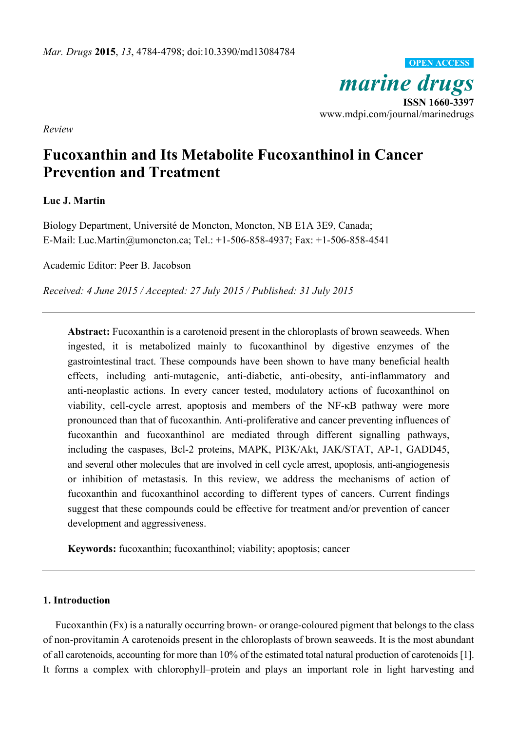*marine drugs*<br> **ISSN 1660-3397** www.mdpi.com/journal/marinedrugs **OPEN ACCESS**

*Review* 

# **Fucoxanthin and Its Metabolite Fucoxanthinol in Cancer Prevention and Treatment**

# **Luc J. Martin**

Biology Department, Université de Moncton, Moncton, NB E1A 3E9, Canada; E-Mail: Luc.Martin@umoncton.ca; Tel.: +1-506-858-4937; Fax: +1-506-858-4541

Academic Editor: Peer B. Jacobson

*Received: 4 June 2015 / Accepted: 27 July 2015 / Published: 31 July 2015* 

**Abstract:** Fucoxanthin is a carotenoid present in the chloroplasts of brown seaweeds. When ingested, it is metabolized mainly to fucoxanthinol by digestive enzymes of the gastrointestinal tract. These compounds have been shown to have many beneficial health effects, including anti-mutagenic, anti-diabetic, anti-obesity, anti-inflammatory and anti-neoplastic actions. In every cancer tested, modulatory actions of fucoxanthinol on viability, cell-cycle arrest, apoptosis and members of the NF-κB pathway were more pronounced than that of fucoxanthin. Anti-proliferative and cancer preventing influences of fucoxanthin and fucoxanthinol are mediated through different signalling pathways, including the caspases, Bcl-2 proteins, MAPK, PI3K/Akt, JAK/STAT, AP-1, GADD45, and several other molecules that are involved in cell cycle arrest, apoptosis, anti-angiogenesis or inhibition of metastasis. In this review, we address the mechanisms of action of fucoxanthin and fucoxanthinol according to different types of cancers. Current findings suggest that these compounds could be effective for treatment and/or prevention of cancer development and aggressiveness.

**Keywords:** fucoxanthin; fucoxanthinol; viability; apoptosis; cancer

#### **1. Introduction**

Fucoxanthin (Fx) is a naturally occurring brown- or orange-coloured pigment that belongs to the class of non-provitamin A carotenoids present in the chloroplasts of brown seaweeds. It is the most abundant of all carotenoids, accounting for more than 10% of the estimated total natural production of carotenoids [1]. It forms a complex with chlorophyll–protein and plays an important role in light harvesting and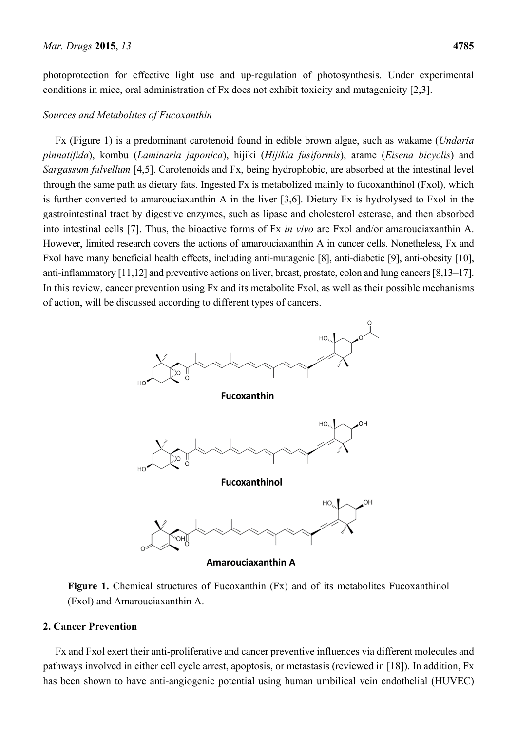photoprotection for effective light use and up-regulation of photosynthesis. Under experimental conditions in mice, oral administration of Fx does not exhibit toxicity and mutagenicity [2,3].

#### *Sources and Metabolites of Fucoxanthin*

Fx (Figure 1) is a predominant carotenoid found in edible brown algae, such as wakame (*Undaria pinnatifida*), kombu (*Laminaria japonica*), hijiki (*Hijikia fusiformis*), arame (*Eisena bicyclis*) and *Sargassum fulvellum* [4,5]. Carotenoids and Fx, being hydrophobic, are absorbed at the intestinal level through the same path as dietary fats. Ingested Fx is metabolized mainly to fucoxanthinol (Fxol), which is further converted to amarouciaxanthin A in the liver [3,6]. Dietary Fx is hydrolysed to Fxol in the gastrointestinal tract by digestive enzymes, such as lipase and cholesterol esterase, and then absorbed into intestinal cells [7]. Thus, the bioactive forms of Fx *in vivo* are Fxol and/or amarouciaxanthin A. However, limited research covers the actions of amarouciaxanthin A in cancer cells. Nonetheless, Fx and Fxol have many beneficial health effects, including anti-mutagenic [8], anti-diabetic [9], anti-obesity [10], anti-inflammatory [11,12] and preventive actions on liver, breast, prostate, colon and lung cancers [8,13–17]. In this review, cancer prevention using Fx and its metabolite Fxol, as well as their possible mechanisms of action, will be discussed according to different types of cancers.



Figure 1. Chemical structures of Fucoxanthin (Fx) and of its metabolites Fucoxanthinol (Fxol) and Amarouciaxanthin A.

## **2. Cancer Prevention**

Fx and Fxol exert their anti-proliferative and cancer preventive influences via different molecules and pathways involved in either cell cycle arrest, apoptosis, or metastasis (reviewed in [18]). In addition, Fx has been shown to have anti-angiogenic potential using human umbilical vein endothelial (HUVEC)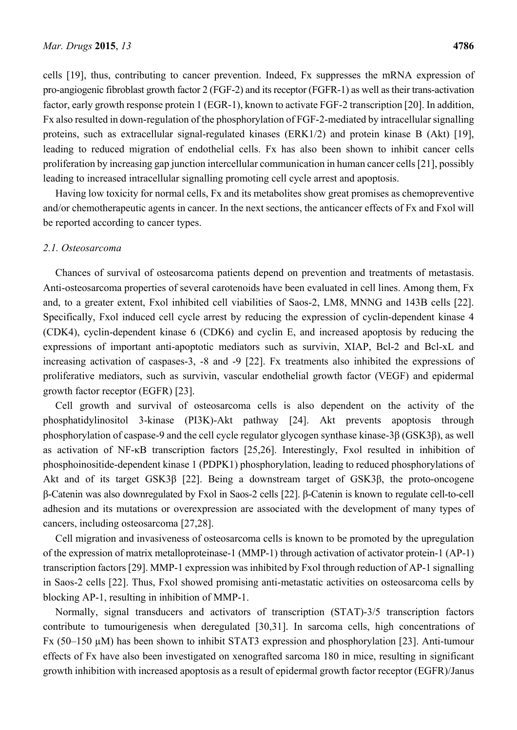cells [19], thus, contributing to cancer prevention. Indeed, Fx suppresses the mRNA expression of pro-angiogenic fibroblast growth factor 2 (FGF-2) and its receptor (FGFR-1) as well as their trans-activation factor, early growth response protein 1 (EGR-1), known to activate FGF-2 transcription [20]. In addition, Fx also resulted in down-regulation of the phosphorylation of FGF-2-mediated by intracellular signalling proteins, such as extracellular signal-regulated kinases (ERK1/2) and protein kinase B (Akt) [19], leading to reduced migration of endothelial cells. Fx has also been shown to inhibit cancer cells proliferation by increasing gap junction intercellular communication in human cancer cells [21], possibly leading to increased intracellular signalling promoting cell cycle arrest and apoptosis.

Having low toxicity for normal cells, Fx and its metabolites show great promises as chemopreventive and/or chemotherapeutic agents in cancer. In the next sections, the anticancer effects of Fx and Fxol will be reported according to cancer types.

#### *2.1. Osteosarcoma*

Chances of survival of osteosarcoma patients depend on prevention and treatments of metastasis. Anti-osteosarcoma properties of several carotenoids have been evaluated in cell lines. Among them, Fx and, to a greater extent, Fxol inhibited cell viabilities of Saos-2, LM8, MNNG and 143B cells [22]. Specifically, Fxol induced cell cycle arrest by reducing the expression of cyclin-dependent kinase 4 (CDK4), cyclin-dependent kinase 6 (CDK6) and cyclin E, and increased apoptosis by reducing the expressions of important anti-apoptotic mediators such as survivin, XIAP, Bcl-2 and Bcl-xL and increasing activation of caspases-3, -8 and -9 [22]. Fx treatments also inhibited the expressions of proliferative mediators, such as survivin, vascular endothelial growth factor (VEGF) and epidermal growth factor receptor (EGFR) [23].

Cell growth and survival of osteosarcoma cells is also dependent on the activity of the phosphatidylinositol 3-kinase (PI3K)-Akt pathway [24]. Akt prevents apoptosis through phosphorylation of caspase-9 and the cell cycle regulator glycogen synthase kinase-3β (GSK3β), as well as activation of NF-κB transcription factors [25,26]. Interestingly, Fxol resulted in inhibition of phosphoinositide-dependent kinase 1 (PDPK1) phosphorylation, leading to reduced phosphorylations of Akt and of its target GSK3β [22]. Being a downstream target of GSK3β, the proto-oncogene β-Catenin was also downregulated by Fxol in Saos-2 cells [22]. β-Catenin is known to regulate cell-to-cell adhesion and its mutations or overexpression are associated with the development of many types of cancers, including osteosarcoma [27,28].

Cell migration and invasiveness of osteosarcoma cells is known to be promoted by the upregulation of the expression of matrix metalloproteinase-1 (MMP-1) through activation of activator protein-1 (AP-1) transcription factors [29]. MMP-1 expression was inhibited by Fxol through reduction of AP-1 signalling in Saos-2 cells [22]. Thus, Fxol showed promising anti-metastatic activities on osteosarcoma cells by blocking AP-1, resulting in inhibition of MMP-1.

Normally, signal transducers and activators of transcription (STAT)-3/5 transcription factors contribute to tumourigenesis when deregulated [30,31]. In sarcoma cells, high concentrations of Fx (50–150 µM) has been shown to inhibit STAT3 expression and phosphorylation [23]. Anti-tumour effects of Fx have also been investigated on xenografted sarcoma 180 in mice, resulting in significant growth inhibition with increased apoptosis as a result of epidermal growth factor receptor (EGFR)/Janus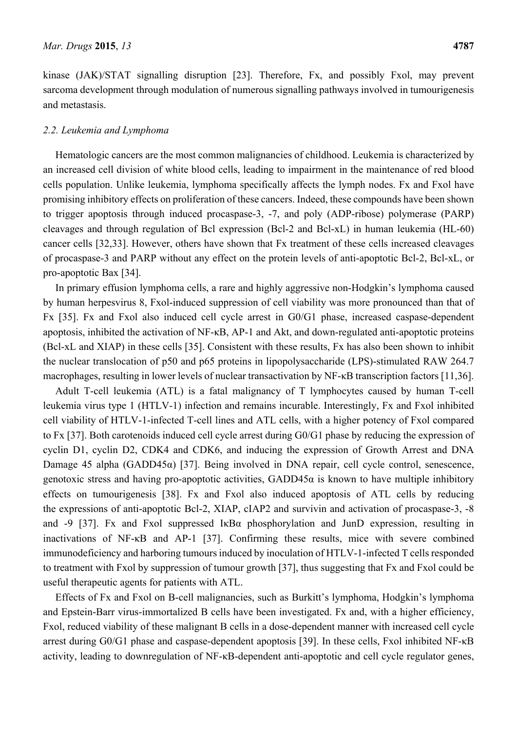kinase (JAK)/STAT signalling disruption [23]. Therefore, Fx, and possibly Fxol, may prevent sarcoma development through modulation of numerous signalling pathways involved in tumourigenesis and metastasis.

## *2.2. Leukemia and Lymphoma*

Hematologic cancers are the most common malignancies of childhood. Leukemia is characterized by an increased cell division of white blood cells, leading to impairment in the maintenance of red blood cells population. Unlike leukemia, lymphoma specifically affects the lymph nodes. Fx and Fxol have promising inhibitory effects on proliferation of these cancers. Indeed, these compounds have been shown to trigger apoptosis through induced procaspase-3, -7, and poly (ADP-ribose) polymerase (PARP) cleavages and through regulation of Bcl expression (Bcl-2 and Bcl-xL) in human leukemia (HL-60) cancer cells [32,33]. However, others have shown that Fx treatment of these cells increased cleavages of procaspase-3 and PARP without any effect on the protein levels of anti-apoptotic Bcl-2, Bcl-xL, or pro-apoptotic Bax [34].

In primary effusion lymphoma cells, a rare and highly aggressive non-Hodgkin's lymphoma caused by human herpesvirus 8, Fxol-induced suppression of cell viability was more pronounced than that of Fx [35]. Fx and Fxol also induced cell cycle arrest in G0/G1 phase, increased caspase-dependent apoptosis, inhibited the activation of NF-κB, AP-1 and Akt, and down-regulated anti-apoptotic proteins (Bcl-xL and XIAP) in these cells [35]. Consistent with these results, Fx has also been shown to inhibit the nuclear translocation of p50 and p65 proteins in lipopolysaccharide (LPS)-stimulated RAW 264.7 macrophages, resulting in lower levels of nuclear transactivation by NF-κB transcription factors [11,36].

Adult T-cell leukemia (ATL) is a fatal malignancy of T lymphocytes caused by human T-cell leukemia virus type 1 (HTLV-1) infection and remains incurable. Interestingly, Fx and Fxol inhibited cell viability of HTLV-1-infected T-cell lines and ATL cells, with a higher potency of Fxol compared to Fx [37]. Both carotenoids induced cell cycle arrest during G0/G1 phase by reducing the expression of cyclin D1, cyclin D2, CDK4 and CDK6, and inducing the expression of Growth Arrest and DNA Damage 45 alpha (GADD45α) [37]. Being involved in DNA repair, cell cycle control, senescence, genotoxic stress and having pro-apoptotic activities,  $GADD45\alpha$  is known to have multiple inhibitory effects on tumourigenesis [38]. Fx and Fxol also induced apoptosis of ATL cells by reducing the expressions of anti-apoptotic Bcl-2, XIAP, cIAP2 and survivin and activation of procaspase-3, -8 and -9 [37]. Fx and Fxol suppressed IκBα phosphorylation and JunD expression, resulting in inactivations of NF-κB and AP-1 [37]. Confirming these results, mice with severe combined immunodeficiency and harboring tumours induced by inoculation of HTLV-1-infected T cells responded to treatment with Fxol by suppression of tumour growth [37], thus suggesting that Fx and Fxol could be useful therapeutic agents for patients with ATL.

Effects of Fx and Fxol on B-cell malignancies, such as Burkitt's lymphoma, Hodgkin's lymphoma and Epstein-Barr virus-immortalized B cells have been investigated. Fx and, with a higher efficiency, Fxol, reduced viability of these malignant B cells in a dose-dependent manner with increased cell cycle arrest during G0/G1 phase and caspase-dependent apoptosis [39]. In these cells, Fxol inhibited NF-κB activity, leading to downregulation of NF-κB-dependent anti-apoptotic and cell cycle regulator genes,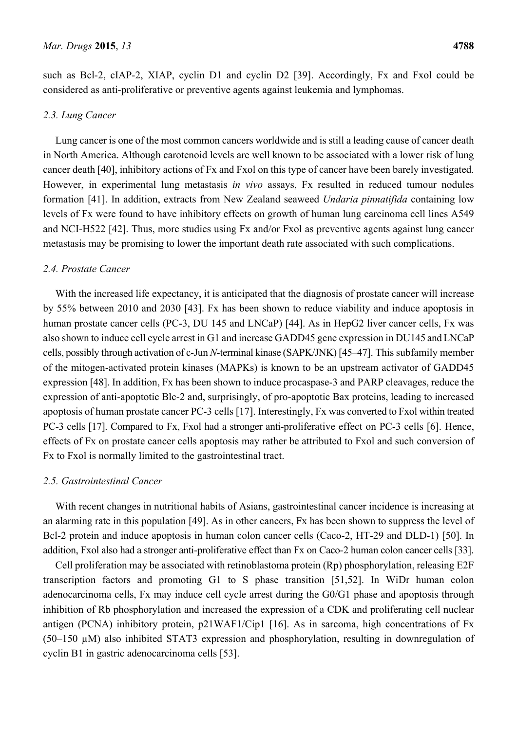such as Bcl-2, cIAP-2, XIAP, cyclin D1 and cyclin D2 [39]. Accordingly, Fx and Fxol could be considered as anti-proliferative or preventive agents against leukemia and lymphomas.

## *2.3. Lung Cancer*

Lung cancer is one of the most common cancers worldwide and is still a leading cause of cancer death in North America. Although carotenoid levels are well known to be associated with a lower risk of lung cancer death [40], inhibitory actions of Fx and Fxol on this type of cancer have been barely investigated. However, in experimental lung metastasis *in vivo* assays, Fx resulted in reduced tumour nodules formation [41]. In addition, extracts from New Zealand seaweed *Undaria pinnatifida* containing low levels of Fx were found to have inhibitory effects on growth of human lung carcinoma cell lines A549 and NCI-H522 [42]. Thus, more studies using Fx and/or Fxol as preventive agents against lung cancer metastasis may be promising to lower the important death rate associated with such complications.

## *2.4. Prostate Cancer*

With the increased life expectancy, it is anticipated that the diagnosis of prostate cancer will increase by 55% between 2010 and 2030 [43]. Fx has been shown to reduce viability and induce apoptosis in human prostate cancer cells (PC-3, DU 145 and LNCaP) [44]. As in HepG2 liver cancer cells, Fx was also shown to induce cell cycle arrest in G1 and increase GADD45 gene expression in DU145 and LNCaP cells, possibly through activation of c-Jun *N*-terminal kinase (SAPK/JNK) [45–47]. This subfamily member of the mitogen-activated protein kinases (MAPKs) is known to be an upstream activator of GADD45 expression [48]. In addition, Fx has been shown to induce procaspase-3 and PARP cleavages, reduce the expression of anti-apoptotic Blc-2 and, surprisingly, of pro-apoptotic Bax proteins, leading to increased apoptosis of human prostate cancer PC-3 cells [17]. Interestingly, Fx was converted to Fxol within treated PC-3 cells [17]. Compared to Fx, Fxol had a stronger anti-proliferative effect on PC-3 cells [6]. Hence, effects of Fx on prostate cancer cells apoptosis may rather be attributed to Fxol and such conversion of Fx to Fxol is normally limited to the gastrointestinal tract.

# *2.5. Gastrointestinal Cancer*

With recent changes in nutritional habits of Asians, gastrointestinal cancer incidence is increasing at an alarming rate in this population [49]. As in other cancers, Fx has been shown to suppress the level of Bcl-2 protein and induce apoptosis in human colon cancer cells (Caco-2, HT-29 and DLD-1) [50]. In addition, Fxol also had a stronger anti-proliferative effect than Fx on Caco-2 human colon cancer cells [33].

Cell proliferation may be associated with retinoblastoma protein (Rp) phosphorylation, releasing E2F transcription factors and promoting G1 to S phase transition [51,52]. In WiDr human colon adenocarcinoma cells, Fx may induce cell cycle arrest during the G0/G1 phase and apoptosis through inhibition of Rb phosphorylation and increased the expression of a CDK and proliferating cell nuclear antigen (PCNA) inhibitory protein, p21WAF1/Cip1 [16]. As in sarcoma, high concentrations of Fx (50–150 µM) also inhibited STAT3 expression and phosphorylation, resulting in downregulation of cyclin B1 in gastric adenocarcinoma cells [53].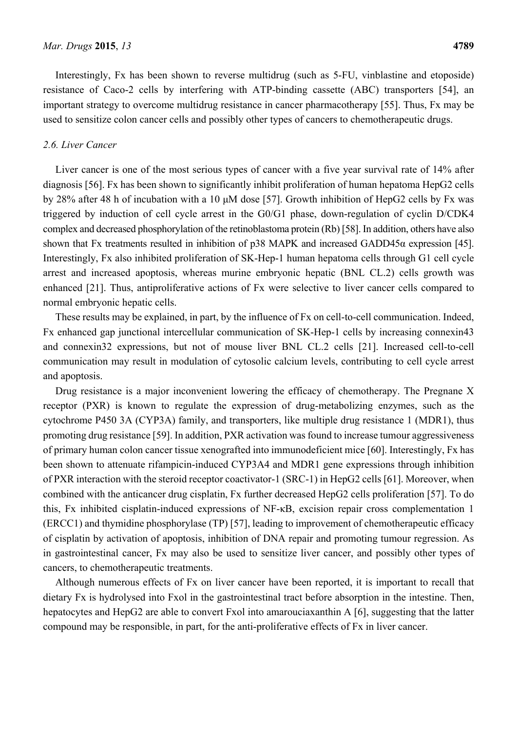Interestingly, Fx has been shown to reverse multidrug (such as 5-FU, vinblastine and etoposide) resistance of Caco-2 cells by interfering with ATP-binding cassette (ABC) transporters [54], an important strategy to overcome multidrug resistance in cancer pharmacotherapy [55]. Thus, Fx may be used to sensitize colon cancer cells and possibly other types of cancers to chemotherapeutic drugs.

#### *2.6. Liver Cancer*

Liver cancer is one of the most serious types of cancer with a five year survival rate of 14% after diagnosis [56]. Fx has been shown to significantly inhibit proliferation of human hepatoma HepG2 cells by 28% after 48 h of incubation with a 10 μM dose [57]. Growth inhibition of HepG2 cells by Fx was triggered by induction of cell cycle arrest in the G0/G1 phase, down-regulation of cyclin D/CDK4 complex and decreased phosphorylation of the retinoblastoma protein (Rb) [58]. In addition, others have also shown that Fx treatments resulted in inhibition of p38 MAPK and increased GADD45α expression [45]. Interestingly, Fx also inhibited proliferation of SK-Hep-1 human hepatoma cells through G1 cell cycle arrest and increased apoptosis, whereas murine embryonic hepatic (BNL CL.2) cells growth was enhanced [21]. Thus, antiproliferative actions of Fx were selective to liver cancer cells compared to normal embryonic hepatic cells.

These results may be explained, in part, by the influence of Fx on cell-to-cell communication. Indeed, Fx enhanced gap junctional intercellular communication of SK-Hep-1 cells by increasing connexin43 and connexin32 expressions, but not of mouse liver BNL CL.2 cells [21]. Increased cell-to-cell communication may result in modulation of cytosolic calcium levels, contributing to cell cycle arrest and apoptosis.

Drug resistance is a major inconvenient lowering the efficacy of chemotherapy. The Pregnane X receptor (PXR) is known to regulate the expression of drug-metabolizing enzymes, such as the cytochrome P450 3A (CYP3A) family, and transporters, like multiple drug resistance 1 (MDR1), thus promoting drug resistance [59]. In addition, PXR activation was found to increase tumour aggressiveness of primary human colon cancer tissue xenografted into immunodeficient mice [60]. Interestingly, Fx has been shown to attenuate rifampicin-induced CYP3A4 and MDR1 gene expressions through inhibition of PXR interaction with the steroid receptor coactivator-1 (SRC-1) in HepG2 cells [61]. Moreover, when combined with the anticancer drug cisplatin, Fx further decreased HepG2 cells proliferation [57]. To do this, Fx inhibited cisplatin-induced expressions of NF-κB, excision repair cross complementation 1 (ERCC1) and thymidine phosphorylase (TP) [57], leading to improvement of chemotherapeutic efficacy of cisplatin by activation of apoptosis, inhibition of DNA repair and promoting tumour regression. As in gastrointestinal cancer, Fx may also be used to sensitize liver cancer, and possibly other types of cancers, to chemotherapeutic treatments.

Although numerous effects of Fx on liver cancer have been reported, it is important to recall that dietary Fx is hydrolysed into Fxol in the gastrointestinal tract before absorption in the intestine. Then, hepatocytes and HepG2 are able to convert Fxol into amarouciaxanthin A [6], suggesting that the latter compound may be responsible, in part, for the anti-proliferative effects of Fx in liver cancer.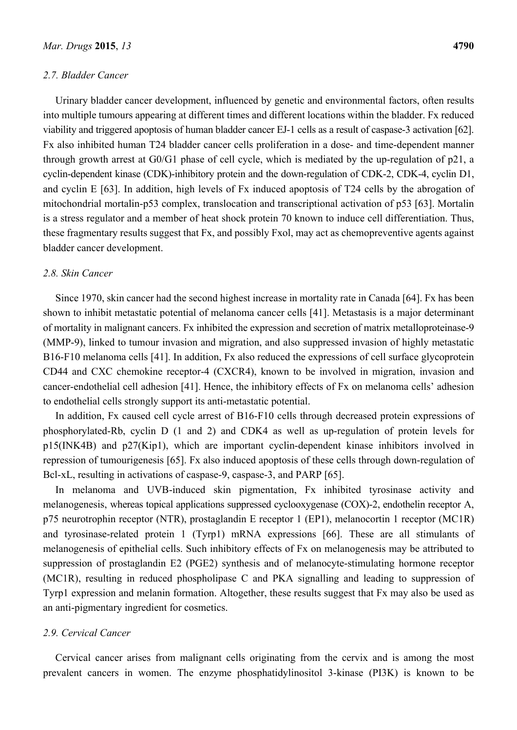#### *2.7. Bladder Cancer*

Urinary bladder cancer development, influenced by genetic and environmental factors, often results into multiple tumours appearing at different times and different locations within the bladder. Fx reduced viability and triggered apoptosis of human bladder cancer EJ-1 cells as a result of caspase-3 activation [62]. Fx also inhibited human T24 bladder cancer cells proliferation in a dose- and time-dependent manner through growth arrest at G0/G1 phase of cell cycle, which is mediated by the up-regulation of p21, a cyclin-dependent kinase (CDK)-inhibitory protein and the down-regulation of CDK-2, CDK-4, cyclin D1, and cyclin E [63]. In addition, high levels of Fx induced apoptosis of T24 cells by the abrogation of mitochondrial mortalin-p53 complex, translocation and transcriptional activation of p53 [63]. Mortalin is a stress regulator and a member of heat shock protein 70 known to induce cell differentiation. Thus, these fragmentary results suggest that Fx, and possibly Fxol, may act as chemopreventive agents against bladder cancer development.

#### *2.8. Skin Cancer*

Since 1970, skin cancer had the second highest increase in mortality rate in Canada [64]. Fx has been shown to inhibit metastatic potential of melanoma cancer cells [41]. Metastasis is a major determinant of mortality in malignant cancers. Fx inhibited the expression and secretion of matrix metalloproteinase-9 (MMP-9), linked to tumour invasion and migration, and also suppressed invasion of highly metastatic B16-F10 melanoma cells [41]. In addition, Fx also reduced the expressions of cell surface glycoprotein CD44 and CXC chemokine receptor-4 (CXCR4), known to be involved in migration, invasion and cancer-endothelial cell adhesion [41]. Hence, the inhibitory effects of Fx on melanoma cells' adhesion to endothelial cells strongly support its anti-metastatic potential.

In addition, Fx caused cell cycle arrest of B16-F10 cells through decreased protein expressions of phosphorylated-Rb, cyclin D (1 and 2) and CDK4 as well as up-regulation of protein levels for p15(INK4B) and p27(Kip1), which are important cyclin-dependent kinase inhibitors involved in repression of tumourigenesis [65]. Fx also induced apoptosis of these cells through down-regulation of Bcl-xL, resulting in activations of caspase-9, caspase-3, and PARP [65].

In melanoma and UVB-induced skin pigmentation, Fx inhibited tyrosinase activity and melanogenesis, whereas topical applications suppressed cyclooxygenase (COX)-2, endothelin receptor A, p75 neurotrophin receptor (NTR), prostaglandin E receptor 1 (EP1), melanocortin 1 receptor (MC1R) and tyrosinase-related protein 1 (Tyrp1) mRNA expressions [66]. These are all stimulants of melanogenesis of epithelial cells. Such inhibitory effects of Fx on melanogenesis may be attributed to suppression of prostaglandin E2 (PGE2) synthesis and of melanocyte-stimulating hormone receptor (MC1R), resulting in reduced phospholipase C and PKA signalling and leading to suppression of Tyrp1 expression and melanin formation. Altogether, these results suggest that Fx may also be used as an anti-pigmentary ingredient for cosmetics.

#### *2.9. Cervical Cancer*

Cervical cancer arises from malignant cells originating from the cervix and is among the most prevalent cancers in women. The enzyme phosphatidylinositol 3-kinase (PI3K) is known to be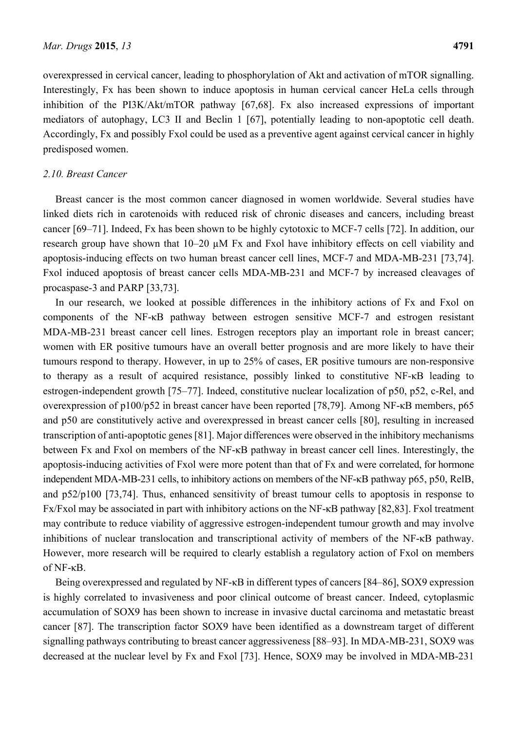overexpressed in cervical cancer, leading to phosphorylation of Akt and activation of mTOR signalling. Interestingly, Fx has been shown to induce apoptosis in human cervical cancer HeLa cells through inhibition of the PI3K/Akt/mTOR pathway [67,68]. Fx also increased expressions of important mediators of autophagy, LC3 II and Beclin 1 [67], potentially leading to non-apoptotic cell death. Accordingly, Fx and possibly Fxol could be used as a preventive agent against cervical cancer in highly predisposed women.

#### *2.10. Breast Cancer*

Breast cancer is the most common cancer diagnosed in women worldwide. Several studies have linked diets rich in carotenoids with reduced risk of chronic diseases and cancers, including breast cancer [69–71]. Indeed, Fx has been shown to be highly cytotoxic to MCF-7 cells [72]. In addition, our research group have shown that 10–20 µM Fx and Fxol have inhibitory effects on cell viability and apoptosis-inducing effects on two human breast cancer cell lines, MCF-7 and MDA-MB-231 [73,74]. Fxol induced apoptosis of breast cancer cells MDA-MB-231 and MCF-7 by increased cleavages of procaspase-3 and PARP [33,73].

In our research, we looked at possible differences in the inhibitory actions of Fx and Fxol on components of the NF-κB pathway between estrogen sensitive MCF-7 and estrogen resistant MDA-MB-231 breast cancer cell lines. Estrogen receptors play an important role in breast cancer; women with ER positive tumours have an overall better prognosis and are more likely to have their tumours respond to therapy. However, in up to 25% of cases, ER positive tumours are non-responsive to therapy as a result of acquired resistance, possibly linked to constitutive NF-κB leading to estrogen-independent growth [75–77]. Indeed, constitutive nuclear localization of p50, p52, c-Rel, and overexpression of p100/p52 in breast cancer have been reported [78,79]. Among NF-κB members, p65 and p50 are constitutively active and overexpressed in breast cancer cells [80], resulting in increased transcription of anti-apoptotic genes [81]. Major differences were observed in the inhibitory mechanisms between Fx and Fxol on members of the NF-κB pathway in breast cancer cell lines. Interestingly, the apoptosis-inducing activities of Fxol were more potent than that of Fx and were correlated, for hormone independent MDA-MB-231 cells, to inhibitory actions on members of the NF-κB pathway p65, p50, RelB, and p52/p100 [73,74]. Thus, enhanced sensitivity of breast tumour cells to apoptosis in response to Fx/Fxol may be associated in part with inhibitory actions on the NF-κB pathway [82,83]. Fxol treatment may contribute to reduce viability of aggressive estrogen-independent tumour growth and may involve inhibitions of nuclear translocation and transcriptional activity of members of the NF-κB pathway. However, more research will be required to clearly establish a regulatory action of Fxol on members of NF-κB.

Being overexpressed and regulated by NF-κB in different types of cancers [84–86], SOX9 expression is highly correlated to invasiveness and poor clinical outcome of breast cancer. Indeed, cytoplasmic accumulation of SOX9 has been shown to increase in invasive ductal carcinoma and metastatic breast cancer [87]. The transcription factor SOX9 have been identified as a downstream target of different signalling pathways contributing to breast cancer aggressiveness [88–93]. In MDA-MB-231, SOX9 was decreased at the nuclear level by Fx and Fxol [73]. Hence, SOX9 may be involved in MDA-MB-231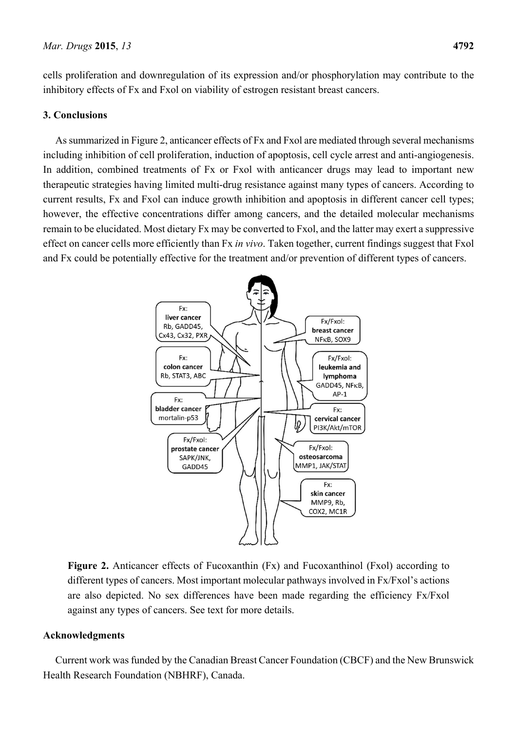cells proliferation and downregulation of its expression and/or phosphorylation may contribute to the inhibitory effects of Fx and Fxol on viability of estrogen resistant breast cancers.

## **3. Conclusions**

As summarized in Figure 2, anticancer effects of Fx and Fxol are mediated through several mechanisms including inhibition of cell proliferation, induction of apoptosis, cell cycle arrest and anti-angiogenesis. In addition, combined treatments of Fx or Fxol with anticancer drugs may lead to important new therapeutic strategies having limited multi-drug resistance against many types of cancers. According to current results, Fx and Fxol can induce growth inhibition and apoptosis in different cancer cell types; however, the effective concentrations differ among cancers, and the detailed molecular mechanisms remain to be elucidated. Most dietary Fx may be converted to Fxol, and the latter may exert a suppressive effect on cancer cells more efficiently than Fx *in vivo*. Taken together, current findings suggest that Fxol and Fx could be potentially effective for the treatment and/or prevention of different types of cancers.



**Figure 2.** Anticancer effects of Fucoxanthin (Fx) and Fucoxanthinol (Fxol) according to different types of cancers. Most important molecular pathways involved in Fx/Fxol's actions are also depicted. No sex differences have been made regarding the efficiency Fx/Fxol against any types of cancers. See text for more details.

# **Acknowledgments**

Current work was funded by the Canadian Breast Cancer Foundation (CBCF) and the New Brunswick Health Research Foundation (NBHRF), Canada.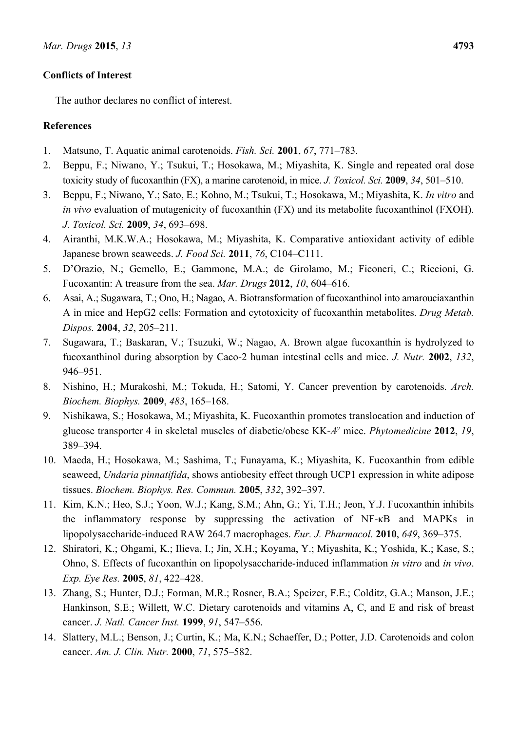# **Conflicts of Interest**

The author declares no conflict of interest.

# **References**

- 1. Matsuno, T. Aquatic animal carotenoids. *Fish. Sci.* **2001**, *67*, 771–783.
- 2. Beppu, F.; Niwano, Y.; Tsukui, T.; Hosokawa, M.; Miyashita, K. Single and repeated oral dose toxicity study of fucoxanthin (FX), a marine carotenoid, in mice. *J. Toxicol. Sci.* **2009**, *34*, 501–510.
- 3. Beppu, F.; Niwano, Y.; Sato, E.; Kohno, M.; Tsukui, T.; Hosokawa, M.; Miyashita, K. *In vitro* and *in vivo* evaluation of mutagenicity of fucoxanthin (FX) and its metabolite fucoxanthinol (FXOH). *J. Toxicol. Sci.* **2009**, *34*, 693–698.
- 4. Airanthi, M.K.W.A.; Hosokawa, M.; Miyashita, K. Comparative antioxidant activity of edible Japanese brown seaweeds. *J. Food Sci.* **2011**, *76*, C104–C111.
- 5. D'Orazio, N.; Gemello, E.; Gammone, M.A.; de Girolamo, M.; Ficoneri, C.; Riccioni, G. Fucoxantin: A treasure from the sea. *Mar. Drugs* **2012**, *10*, 604–616.
- 6. Asai, A.; Sugawara, T.; Ono, H.; Nagao, A. Biotransformation of fucoxanthinol into amarouciaxanthin A in mice and HepG2 cells: Formation and cytotoxicity of fucoxanthin metabolites. *Drug Metab. Dispos.* **2004**, *32*, 205–211.
- 7. Sugawara, T.; Baskaran, V.; Tsuzuki, W.; Nagao, A. Brown algae fucoxanthin is hydrolyzed to fucoxanthinol during absorption by Caco-2 human intestinal cells and mice. *J. Nutr.* **2002**, *132*, 946–951.
- 8. Nishino, H.; Murakoshi, M.; Tokuda, H.; Satomi, Y. Cancer prevention by carotenoids. *Arch. Biochem. Biophys.* **2009**, *483*, 165–168.
- 9. Nishikawa, S.; Hosokawa, M.; Miyashita, K. Fucoxanthin promotes translocation and induction of glucose transporter 4 in skeletal muscles of diabetic/obese KK-*Ay* mice. *Phytomedicine* **2012**, *19*, 389–394.
- 10. Maeda, H.; Hosokawa, M.; Sashima, T.; Funayama, K.; Miyashita, K. Fucoxanthin from edible seaweed, *Undaria pinnatifida*, shows antiobesity effect through UCP1 expression in white adipose tissues. *Biochem. Biophys. Res. Commun.* **2005**, *332*, 392–397.
- 11. Kim, K.N.; Heo, S.J.; Yoon, W.J.; Kang, S.M.; Ahn, G.; Yi, T.H.; Jeon, Y.J. Fucoxanthin inhibits the inflammatory response by suppressing the activation of NF-κB and MAPKs in lipopolysaccharide-induced RAW 264.7 macrophages. *Eur. J. Pharmacol.* **2010**, *649*, 369–375.
- 12. Shiratori, K.; Ohgami, K.; Ilieva, I.; Jin, X.H.; Koyama, Y.; Miyashita, K.; Yoshida, K.; Kase, S.; Ohno, S. Effects of fucoxanthin on lipopolysaccharide-induced inflammation *in vitro* and *in vivo*. *Exp. Eye Res.* **2005**, *81*, 422–428.
- 13. Zhang, S.; Hunter, D.J.; Forman, M.R.; Rosner, B.A.; Speizer, F.E.; Colditz, G.A.; Manson, J.E.; Hankinson, S.E.; Willett, W.C. Dietary carotenoids and vitamins A, C, and E and risk of breast cancer. *J. Natl. Cancer Inst.* **1999**, *91*, 547–556.
- 14. Slattery, M.L.; Benson, J.; Curtin, K.; Ma, K.N.; Schaeffer, D.; Potter, J.D. Carotenoids and colon cancer. *Am. J. Clin. Nutr.* **2000**, *71*, 575–582.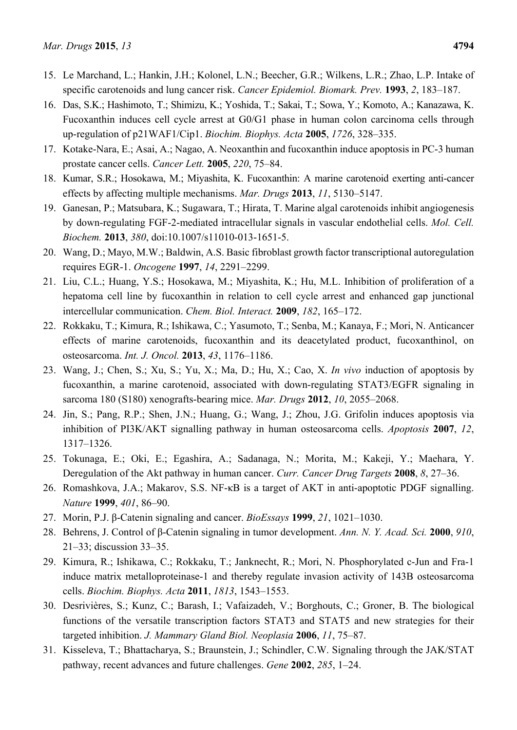- 15. Le Marchand, L.; Hankin, J.H.; Kolonel, L.N.; Beecher, G.R.; Wilkens, L.R.; Zhao, L.P. Intake of specific carotenoids and lung cancer risk. *Cancer Epidemiol. Biomark. Prev.* **1993**, *2*, 183–187.
- 16. Das, S.K.; Hashimoto, T.; Shimizu, K.; Yoshida, T.; Sakai, T.; Sowa, Y.; Komoto, A.; Kanazawa, K. Fucoxanthin induces cell cycle arrest at G0/G1 phase in human colon carcinoma cells through up-regulation of p21WAF1/Cip1. *Biochim. Biophys. Acta* **2005**, *1726*, 328–335.
- 17. Kotake-Nara, E.; Asai, A.; Nagao, A. Neoxanthin and fucoxanthin induce apoptosis in PC-3 human prostate cancer cells. *Cancer Lett.* **2005**, *220*, 75–84.
- 18. Kumar, S.R.; Hosokawa, M.; Miyashita, K. Fucoxanthin: A marine carotenoid exerting anti-cancer effects by affecting multiple mechanisms. *Mar. Drugs* **2013**, *11*, 5130–5147.
- 19. Ganesan, P.; Matsubara, K.; Sugawara, T.; Hirata, T. Marine algal carotenoids inhibit angiogenesis by down-regulating FGF-2-mediated intracellular signals in vascular endothelial cells. *Mol. Cell. Biochem.* **2013**, *380*, doi:10.1007/s11010-013-1651-5.
- 20. Wang, D.; Mayo, M.W.; Baldwin, A.S. Basic fibroblast growth factor transcriptional autoregulation requires EGR-1. *Oncogene* **1997**, *14*, 2291–2299.
- 21. Liu, C.L.; Huang, Y.S.; Hosokawa, M.; Miyashita, K.; Hu, M.L. Inhibition of proliferation of a hepatoma cell line by fucoxanthin in relation to cell cycle arrest and enhanced gap junctional intercellular communication. *Chem. Biol. Interact.* **2009**, *182*, 165–172.
- 22. Rokkaku, T.; Kimura, R.; Ishikawa, C.; Yasumoto, T.; Senba, M.; Kanaya, F.; Mori, N. Anticancer effects of marine carotenoids, fucoxanthin and its deacetylated product, fucoxanthinol, on osteosarcoma. *Int. J. Oncol.* **2013**, *43*, 1176–1186.
- 23. Wang, J.; Chen, S.; Xu, S.; Yu, X.; Ma, D.; Hu, X.; Cao, X. *In vivo* induction of apoptosis by fucoxanthin, a marine carotenoid, associated with down-regulating STAT3/EGFR signaling in sarcoma 180 (S180) xenografts-bearing mice. *Mar. Drugs* **2012**, *10*, 2055–2068.
- 24. Jin, S.; Pang, R.P.; Shen, J.N.; Huang, G.; Wang, J.; Zhou, J.G. Grifolin induces apoptosis via inhibition of PI3K/AKT signalling pathway in human osteosarcoma cells. *Apoptosis* **2007**, *12*, 1317–1326.
- 25. Tokunaga, E.; Oki, E.; Egashira, A.; Sadanaga, N.; Morita, M.; Kakeji, Y.; Maehara, Y. Deregulation of the Akt pathway in human cancer. *Curr. Cancer Drug Targets* **2008**, *8*, 27–36.
- 26. Romashkova, J.A.; Makarov, S.S. NF-κB is a target of AKT in anti-apoptotic PDGF signalling. *Nature* **1999**, *401*, 86–90.
- 27. Morin, P.J. β-Catenin signaling and cancer. *BioEssays* **1999**, *21*, 1021–1030.
- 28. Behrens, J. Control of β-Catenin signaling in tumor development. *Ann. N. Y. Acad. Sci.* **2000**, *910*, 21–33; discussion 33–35.
- 29. Kimura, R.; Ishikawa, C.; Rokkaku, T.; Janknecht, R.; Mori, N. Phosphorylated c-Jun and Fra-1 induce matrix metalloproteinase-1 and thereby regulate invasion activity of 143B osteosarcoma cells. *Biochim. Biophys. Acta* **2011**, *1813*, 1543–1553.
- 30. Desrivières, S.; Kunz, C.; Barash, I.; Vafaizadeh, V.; Borghouts, C.; Groner, B. The biological functions of the versatile transcription factors STAT3 and STAT5 and new strategies for their targeted inhibition. *J. Mammary Gland Biol. Neoplasia* **2006**, *11*, 75–87.
- 31. Kisseleva, T.; Bhattacharya, S.; Braunstein, J.; Schindler, C.W. Signaling through the JAK/STAT pathway, recent advances and future challenges. *Gene* **2002**, *285*, 1–24.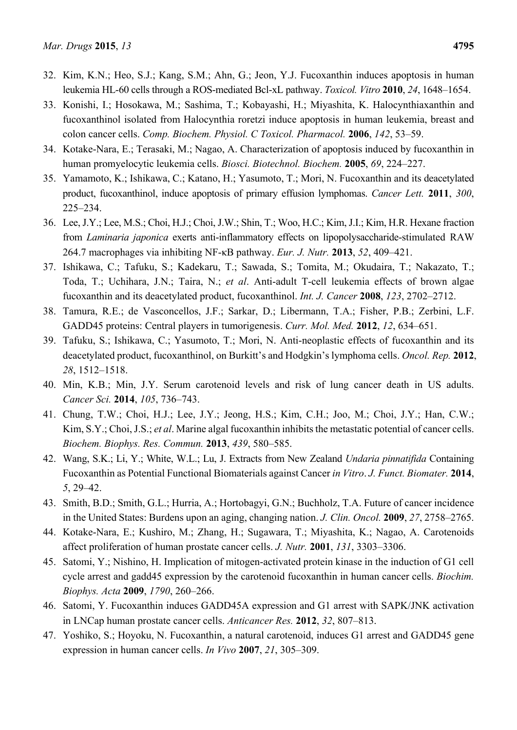- 32. Kim, K.N.; Heo, S.J.; Kang, S.M.; Ahn, G.; Jeon, Y.J. Fucoxanthin induces apoptosis in human leukemia HL-60 cells through a ROS-mediated Bcl-xL pathway. *Toxicol. Vitro* **2010**, *24*, 1648–1654.
- 33. Konishi, I.; Hosokawa, M.; Sashima, T.; Kobayashi, H.; Miyashita, K. Halocynthiaxanthin and fucoxanthinol isolated from Halocynthia roretzi induce apoptosis in human leukemia, breast and colon cancer cells. *Comp. Biochem. Physiol. C Toxicol. Pharmacol.* **2006**, *142*, 53–59.
- 34. Kotake-Nara, E.; Terasaki, M.; Nagao, A. Characterization of apoptosis induced by fucoxanthin in human promyelocytic leukemia cells. *Biosci. Biotechnol. Biochem.* **2005**, *69*, 224–227.
- 35. Yamamoto, K.; Ishikawa, C.; Katano, H.; Yasumoto, T.; Mori, N. Fucoxanthin and its deacetylated product, fucoxanthinol, induce apoptosis of primary effusion lymphomas. *Cancer Lett.* **2011**, *300*, 225–234.
- 36. Lee, J.Y.; Lee, M.S.; Choi, H.J.; Choi, J.W.; Shin, T.; Woo, H.C.; Kim, J.I.; Kim, H.R. Hexane fraction from *Laminaria japonica* exerts anti-inflammatory effects on lipopolysaccharide-stimulated RAW 264.7 macrophages via inhibiting NF-κB pathway. *Eur. J. Nutr.* **2013**, *52*, 409–421.
- 37. Ishikawa, C.; Tafuku, S.; Kadekaru, T.; Sawada, S.; Tomita, M.; Okudaira, T.; Nakazato, T.; Toda, T.; Uchihara, J.N.; Taira, N.; *et al*. Anti-adult T-cell leukemia effects of brown algae fucoxanthin and its deacetylated product, fucoxanthinol. *Int. J. Cancer* **2008**, *123*, 2702–2712.
- 38. Tamura, R.E.; de Vasconcellos, J.F.; Sarkar, D.; Libermann, T.A.; Fisher, P.B.; Zerbini, L.F. GADD45 proteins: Central players in tumorigenesis. *Curr. Mol. Med.* **2012**, *12*, 634–651.
- 39. Tafuku, S.; Ishikawa, C.; Yasumoto, T.; Mori, N. Anti-neoplastic effects of fucoxanthin and its deacetylated product, fucoxanthinol, on Burkitt's and Hodgkin's lymphoma cells. *Oncol. Rep.* **2012**, *28*, 1512–1518.
- 40. Min, K.B.; Min, J.Y. Serum carotenoid levels and risk of lung cancer death in US adults. *Cancer Sci.* **2014**, *105*, 736–743.
- 41. Chung, T.W.; Choi, H.J.; Lee, J.Y.; Jeong, H.S.; Kim, C.H.; Joo, M.; Choi, J.Y.; Han, C.W.; Kim, S.Y.; Choi, J.S.; *et al*. Marine algal fucoxanthin inhibits the metastatic potential of cancer cells. *Biochem. Biophys. Res. Commun.* **2013**, *439*, 580–585.
- 42. Wang, S.K.; Li, Y.; White, W.L.; Lu, J. Extracts from New Zealand *Undaria pinnatifida* Containing Fucoxanthin as Potential Functional Biomaterials against Cancer *in Vitro*. *J. Funct. Biomater.* **2014**, *5*, 29–42.
- 43. Smith, B.D.; Smith, G.L.; Hurria, A.; Hortobagyi, G.N.; Buchholz, T.A. Future of cancer incidence in the United States: Burdens upon an aging, changing nation. *J. Clin. Oncol.* **2009**, *27*, 2758–2765.
- 44. Kotake-Nara, E.; Kushiro, M.; Zhang, H.; Sugawara, T.; Miyashita, K.; Nagao, A. Carotenoids affect proliferation of human prostate cancer cells. *J. Nutr.* **2001**, *131*, 3303–3306.
- 45. Satomi, Y.; Nishino, H. Implication of mitogen-activated protein kinase in the induction of G1 cell cycle arrest and gadd45 expression by the carotenoid fucoxanthin in human cancer cells. *Biochim. Biophys. Acta* **2009**, *1790*, 260–266.
- 46. Satomi, Y. Fucoxanthin induces GADD45A expression and G1 arrest with SAPK/JNK activation in LNCap human prostate cancer cells. *Anticancer Res.* **2012**, *32*, 807–813.
- 47. Yoshiko, S.; Hoyoku, N. Fucoxanthin, a natural carotenoid, induces G1 arrest and GADD45 gene expression in human cancer cells. *In Vivo* **2007**, *21*, 305–309.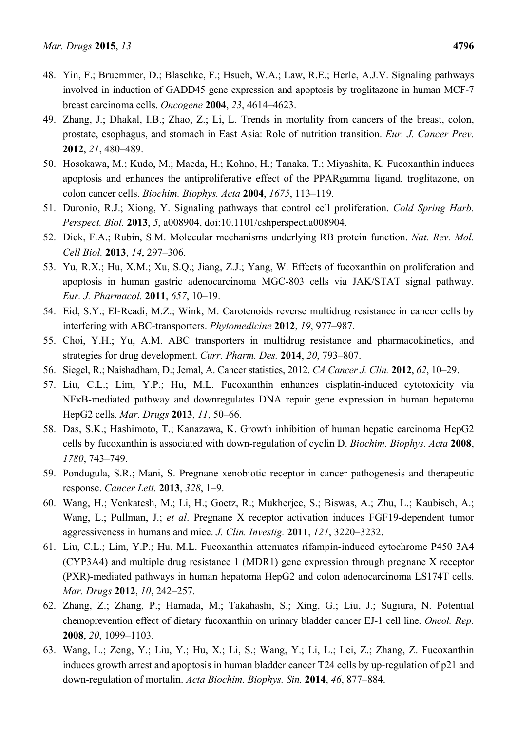- 48. Yin, F.; Bruemmer, D.; Blaschke, F.; Hsueh, W.A.; Law, R.E.; Herle, A.J.V. Signaling pathways involved in induction of GADD45 gene expression and apoptosis by troglitazone in human MCF-7 breast carcinoma cells. *Oncogene* **2004**, *23*, 4614–4623.
- 49. Zhang, J.; Dhakal, I.B.; Zhao, Z.; Li, L. Trends in mortality from cancers of the breast, colon, prostate, esophagus, and stomach in East Asia: Role of nutrition transition. *Eur. J. Cancer Prev.*  **2012**, *21*, 480–489.
- 50. Hosokawa, M.; Kudo, M.; Maeda, H.; Kohno, H.; Tanaka, T.; Miyashita, K. Fucoxanthin induces apoptosis and enhances the antiproliferative effect of the PPARgamma ligand, troglitazone, on colon cancer cells. *Biochim. Biophys. Acta* **2004**, *1675*, 113–119.
- 51. Duronio, R.J.; Xiong, Y. Signaling pathways that control cell proliferation. *Cold Spring Harb. Perspect. Biol.* **2013**, *5*, a008904, doi:10.1101/cshperspect.a008904.
- 52. Dick, F.A.; Rubin, S.M. Molecular mechanisms underlying RB protein function. *Nat. Rev. Mol. Cell Biol.* **2013**, *14*, 297–306.
- 53. Yu, R.X.; Hu, X.M.; Xu, S.Q.; Jiang, Z.J.; Yang, W. Effects of fucoxanthin on proliferation and apoptosis in human gastric adenocarcinoma MGC-803 cells via JAK/STAT signal pathway. *Eur. J. Pharmacol.* **2011**, *657*, 10–19.
- 54. Eid, S.Y.; El-Readi, M.Z.; Wink, M. Carotenoids reverse multidrug resistance in cancer cells by interfering with ABC-transporters. *Phytomedicine* **2012**, *19*, 977–987.
- 55. Choi, Y.H.; Yu, A.M. ABC transporters in multidrug resistance and pharmacokinetics, and strategies for drug development. *Curr. Pharm. Des.* **2014**, *20*, 793–807.
- 56. Siegel, R.; Naishadham, D.; Jemal, A. Cancer statistics, 2012. *CA Cancer J. Clin.* **2012**, *62*, 10–29.
- 57. Liu, C.L.; Lim, Y.P.; Hu, M.L. Fucoxanthin enhances cisplatin-induced cytotoxicity via NFκB-mediated pathway and downregulates DNA repair gene expression in human hepatoma HepG2 cells. *Mar. Drugs* **2013**, *11*, 50–66.
- 58. Das, S.K.; Hashimoto, T.; Kanazawa, K. Growth inhibition of human hepatic carcinoma HepG2 cells by fucoxanthin is associated with down-regulation of cyclin D. *Biochim. Biophys. Acta* **2008**, *1780*, 743–749.
- 59. Pondugula, S.R.; Mani, S. Pregnane xenobiotic receptor in cancer pathogenesis and therapeutic response. *Cancer Lett.* **2013**, *328*, 1–9.
- 60. Wang, H.; Venkatesh, M.; Li, H.; Goetz, R.; Mukherjee, S.; Biswas, A.; Zhu, L.; Kaubisch, A.; Wang, L.; Pullman, J.; *et al*. Pregnane X receptor activation induces FGF19-dependent tumor aggressiveness in humans and mice. *J. Clin. Investig.* **2011**, *121*, 3220–3232.
- 61. Liu, C.L.; Lim, Y.P.; Hu, M.L. Fucoxanthin attenuates rifampin-induced cytochrome P450 3A4 (CYP3A4) and multiple drug resistance 1 (MDR1) gene expression through pregnane X receptor (PXR)-mediated pathways in human hepatoma HepG2 and colon adenocarcinoma LS174T cells. *Mar. Drugs* **2012**, *10*, 242–257.
- 62. Zhang, Z.; Zhang, P.; Hamada, M.; Takahashi, S.; Xing, G.; Liu, J.; Sugiura, N. Potential chemoprevention effect of dietary fucoxanthin on urinary bladder cancer EJ-1 cell line. *Oncol. Rep.* **2008**, *20*, 1099–1103.
- 63. Wang, L.; Zeng, Y.; Liu, Y.; Hu, X.; Li, S.; Wang, Y.; Li, L.; Lei, Z.; Zhang, Z. Fucoxanthin induces growth arrest and apoptosis in human bladder cancer T24 cells by up-regulation of p21 and down-regulation of mortalin. *Acta Biochim. Biophys. Sin.* **2014**, *46*, 877–884.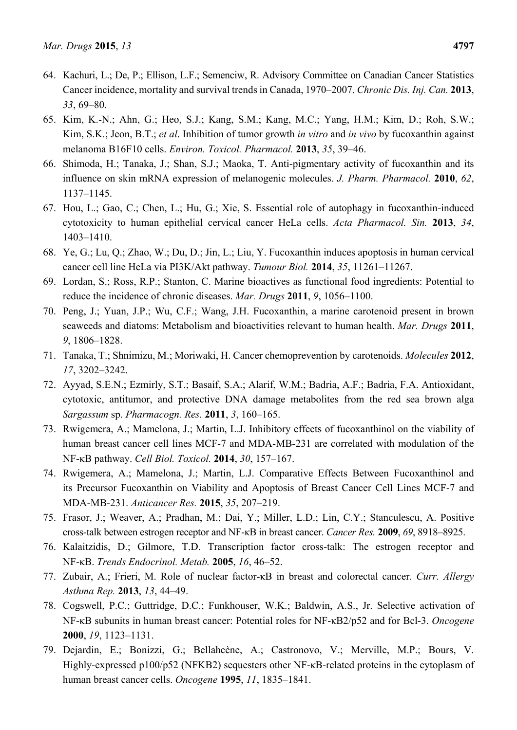- 64. Kachuri, L.; De, P.; Ellison, L.F.; Semenciw, R. Advisory Committee on Canadian Cancer Statistics Cancer incidence, mortality and survival trends in Canada, 1970–2007. *Chronic Dis. Inj. Can.* **2013**, *33*, 69–80.
- 65. Kim, K.-N.; Ahn, G.; Heo, S.J.; Kang, S.M.; Kang, M.C.; Yang, H.M.; Kim, D.; Roh, S.W.; Kim, S.K.; Jeon, B.T.; *et al*. Inhibition of tumor growth *in vitro* and *in vivo* by fucoxanthin against melanoma B16F10 cells. *Environ. Toxicol. Pharmacol.* **2013**, *35*, 39–46.
- 66. Shimoda, H.; Tanaka, J.; Shan, S.J.; Maoka, T. Anti-pigmentary activity of fucoxanthin and its influence on skin mRNA expression of melanogenic molecules. *J. Pharm. Pharmacol.* **2010**, *62*, 1137–1145.
- 67. Hou, L.; Gao, C.; Chen, L.; Hu, G.; Xie, S. Essential role of autophagy in fucoxanthin-induced cytotoxicity to human epithelial cervical cancer HeLa cells. *Acta Pharmacol. Sin.* **2013**, *34*, 1403–1410.
- 68. Ye, G.; Lu, Q.; Zhao, W.; Du, D.; Jin, L.; Liu, Y. Fucoxanthin induces apoptosis in human cervical cancer cell line HeLa via PI3K/Akt pathway. *Tumour Biol.* **2014**, *35*, 11261–11267.
- 69. Lordan, S.; Ross, R.P.; Stanton, C. Marine bioactives as functional food ingredients: Potential to reduce the incidence of chronic diseases. *Mar. Drugs* **2011**, *9*, 1056–1100.
- 70. Peng, J.; Yuan, J.P.; Wu, C.F.; Wang, J.H. Fucoxanthin, a marine carotenoid present in brown seaweeds and diatoms: Metabolism and bioactivities relevant to human health. *Mar. Drugs* **2011**, *9*, 1806–1828.
- 71. Tanaka, T.; Shnimizu, M.; Moriwaki, H. Cancer chemoprevention by carotenoids. *Molecules* **2012**, *17*, 3202–3242.
- 72. Ayyad, S.E.N.; Ezmirly, S.T.; Basaif, S.A.; Alarif, W.M.; Badria, A.F.; Badria, F.A. Antioxidant, cytotoxic, antitumor, and protective DNA damage metabolites from the red sea brown alga *Sargassum* sp. *Pharmacogn. Res.* **2011**, *3*, 160–165.
- 73. Rwigemera, A.; Mamelona, J.; Martin, L.J. Inhibitory effects of fucoxanthinol on the viability of human breast cancer cell lines MCF-7 and MDA-MB-231 are correlated with modulation of the NF-κB pathway. *Cell Biol. Toxicol.* **2014**, *30*, 157–167.
- 74. Rwigemera, A.; Mamelona, J.; Martin, L.J. Comparative Effects Between Fucoxanthinol and its Precursor Fucoxanthin on Viability and Apoptosis of Breast Cancer Cell Lines MCF-7 and MDA-MB-231. *Anticancer Res.* **2015**, *35*, 207–219.
- 75. Frasor, J.; Weaver, A.; Pradhan, M.; Dai, Y.; Miller, L.D.; Lin, C.Y.; Stanculescu, A. Positive cross-talk between estrogen receptor and NF-κB in breast cancer. *Cancer Res.* **2009**, *69*, 8918–8925.
- 76. Kalaitzidis, D.; Gilmore, T.D. Transcription factor cross-talk: The estrogen receptor and NF-κB. *Trends Endocrinol. Metab.* **2005**, *16*, 46–52.
- 77. Zubair, A.; Frieri, M. Role of nuclear factor-κB in breast and colorectal cancer. *Curr. Allergy Asthma Rep.* **2013**, *13*, 44–49.
- 78. Cogswell, P.C.; Guttridge, D.C.; Funkhouser, W.K.; Baldwin, A.S., Jr. Selective activation of NF-κB subunits in human breast cancer: Potential roles for NF-κB2/p52 and for Bcl-3. *Oncogene* **2000**, *19*, 1123–1131.
- 79. Dejardin, E.; Bonizzi, G.; Bellahcène, A.; Castronovo, V.; Merville, M.P.; Bours, V. Highly-expressed p100/p52 (NFKB2) sequesters other NF-κB-related proteins in the cytoplasm of human breast cancer cells. *Oncogene* **1995**, *11*, 1835–1841.